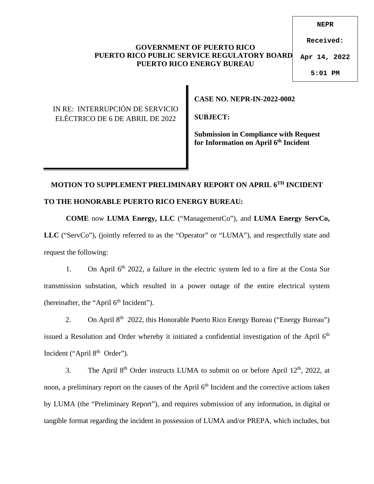### **GOVERNMENT OF PUERTO RICO PUERTO RICO PUBLIC SERVICE REGULATORY BOARD PUERTO RICO ENERGY BUREAU**

**NEPR**

**Received:**

**Apr 14, 2022**

**5:01 PM**

### IN RE: INTERRUPCIÓN DE SERVICIO ELÉCTRICO DE 6 DE ABRIL DE 2022

**CASE NO. NEPR-IN-2022-0002** 

**SUBJECT:** 

**Submission in Compliance with Request for Information on April 6th Incident** 

# **MOTION TO SUPPLEMENT PRELIMINARY REPORT ON APRIL 6TH INCIDENT TO THE HONORABLE PUERTO RICO ENERGY BUREAU:**

**COME** now **LUMA Energy, LLC** ("ManagementCo"), and **LUMA Energy ServCo, LLC** ("ServCo"), (jointly referred to as the "Operator" or "LUMA"), and respectfully state and request the following:

1. On April  $6<sup>th</sup>$  2022, a failure in the electric system led to a fire at the Costa Sur transmission substation, which resulted in a power outage of the entire electrical system (hereinafter, the "April  $6<sup>th</sup>$  Incident").

2. On April  $8<sup>th</sup>$  2022, this Honorable Puerto Rico Energy Bureau ("Energy Bureau") issued a Resolution and Order whereby it initiated a confidential investigation of the April 6<sup>th</sup> Incident ("April 8<sup>th</sup> Order").

3. The April  $8<sup>th</sup>$  Order instructs LUMA to submit on or before April 12<sup>th</sup>, 2022, at noon, a preliminary report on the causes of the April 6<sup>th</sup> Incident and the corrective actions taken by LUMA (the "Preliminary Report"), and requires submission of any information, in digital or tangible format regarding the incident in possession of LUMA and/or PREPA, which includes, but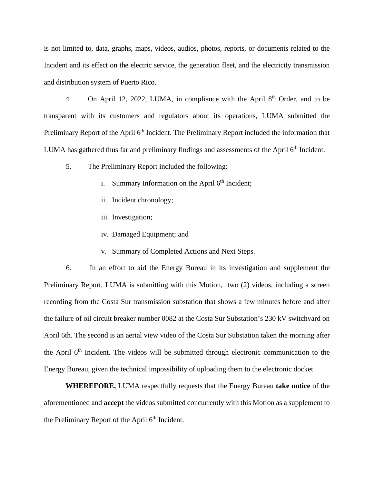is not limited to, data, graphs, maps, videos, audios, photos, reports, or documents related to the Incident and its effect on the electric service, the generation fleet, and the electricity transmission and distribution system of Puerto Rico.

4. On April 12, 2022, LUMA, in compliance with the April  $8<sup>th</sup>$  Order, and to be transparent with its customers and regulators about its operations, LUMA submitted the Preliminary Report of the April 6<sup>th</sup> Incident. The Preliminary Report included the information that LUMA has gathered thus far and preliminary findings and assessments of the April  $6<sup>th</sup>$  Incident.

- 5. The Preliminary Report included the following:
	- i. Summary Information on the April  $6<sup>th</sup>$  Incident;
	- ii. Incident chronology;
	- iii. Investigation;
	- iv. Damaged Equipment; and
	- v. Summary of Completed Actions and Next Steps.

6. In an effort to aid the Energy Bureau in its investigation and supplement the Preliminary Report, LUMA is submitting with this Motion, two (2) videos, including a screen recording from the Costa Sur transmission substation that shows a few minutes before and after the failure of oil circuit breaker number 0082 at the Costa Sur Substation's 230 kV switchyard on April 6th. The second is an aerial view video of the Costa Sur Substation taken the morning after the April 6<sup>th</sup> Incident. The videos will be submitted through electronic communication to the Energy Bureau, given the technical impossibility of uploading them to the electronic docket.

**WHEREFORE,** LUMA respectfully requests that the Energy Bureau **take notice** of the aforementioned and **accept** the videos submitted concurrently with this Motion as a supplement to the Preliminary Report of the April  $6<sup>th</sup>$  Incident.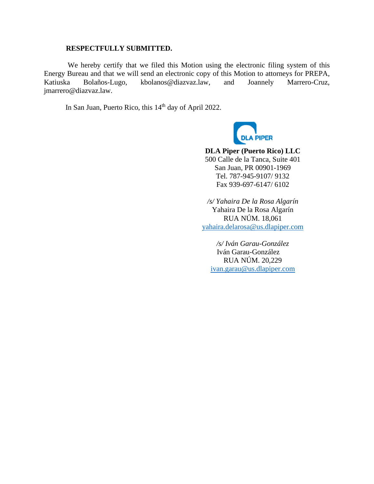#### **RESPECTFULLY SUBMITTED.**

 We hereby certify that we filed this Motion using the electronic filing system of this Energy Bureau and that we will send an electronic copy of this Motion to attorneys for PREPA, Katiuska Bolaños-Lugo, kbolanos@diazvaz.law, and Joannely Marrero-Cruz, jmarrero@diazvaz.law.

In San Juan, Puerto Rico, this 14<sup>th</sup> day of April 2022.



**DLA Piper (Puerto Rico) LLC**  500 Calle de la Tanca, Suite 401 San Juan, PR 00901-1969 Tel. 787-945-9107/ 9132 Fax 939-697-6147/ 6102

*/s/ Yahaira De la Rosa Algarín* Yahaira De la Rosa Algarín RUA NÚM. 18,061 [yahaira.delarosa@us.dlapiper.com](mailto:yahaira.delarosa@us.dlapiper.com)

*/s/ Iván Garau-González*  Iván Garau-González RUA NÚM. 20,229 [ivan.garau@us.dlapiper.com](mailto:ivan.garau@us.dlapiper.com)